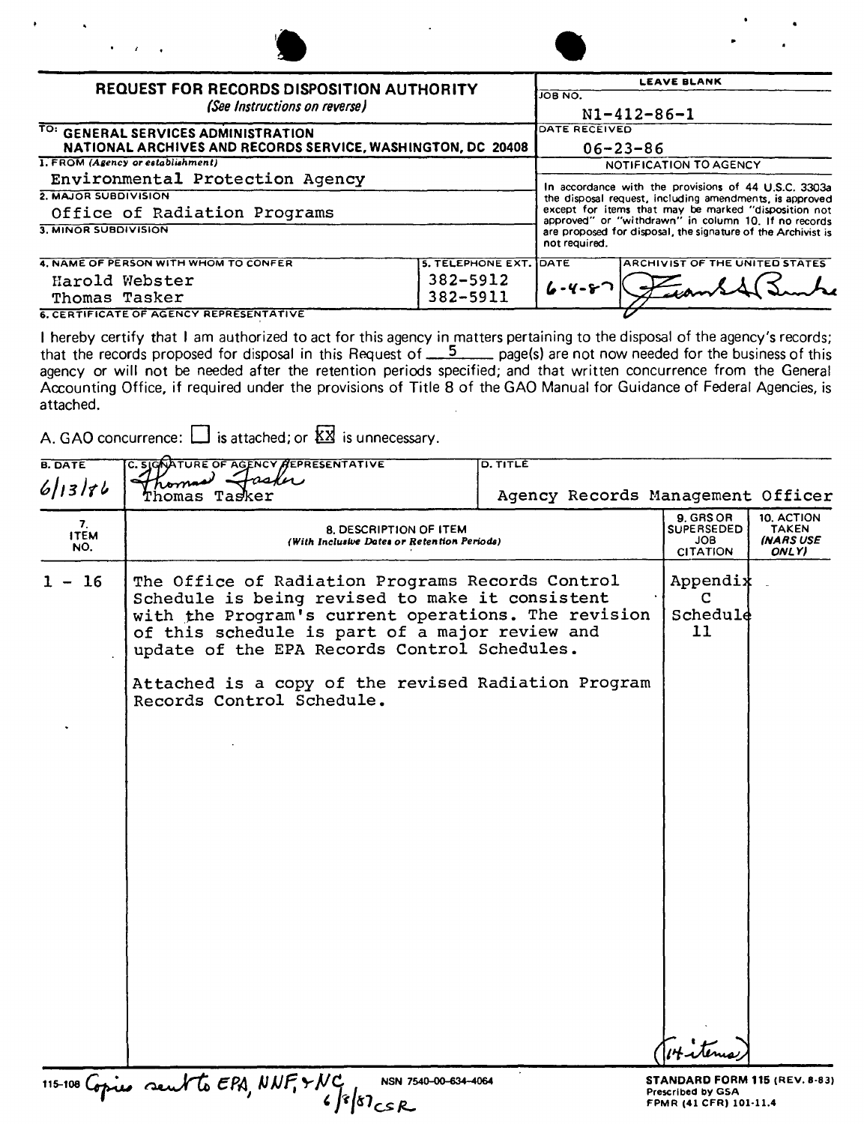| $\mathbf{a}$<br>r.                                                                                 |                          |                    |                                                                                                              |
|----------------------------------------------------------------------------------------------------|--------------------------|--------------------|--------------------------------------------------------------------------------------------------------------|
| <b>REQUEST FOR RECORDS DISPOSITION AUTHORITY</b>                                                   |                          | <b>LEAVE BLANK</b> |                                                                                                              |
| (See Instructions on reverse)                                                                      |                          | <b>JOB NO.</b>     | $N1 - 412 - 86 - 1$                                                                                          |
| TO: GENERAL SERVICES ADMINISTRATION<br>NATIONAL ARCHIVES AND RECORDS SERVICE, WASHINGTON, DC 20408 |                          | DATE RECEIVED      | $06 - 23 - 86$                                                                                               |
| 1. FROM (Agency or establishment)                                                                  |                          |                    | NOTIFICATION TO AGENCY                                                                                       |
| Environmental Protection Agency                                                                    |                          |                    | In accordance with the provisions of 44 U.S.C. 3303a                                                         |
| 2. MAJOR SUBDIVISION                                                                               |                          |                    | the disposal request, including amendments, is approved                                                      |
| Office of Radiation Programs                                                                       |                          |                    | except for items that may be marked "disposition not<br>approved" or "withdrawn" in column 10. If no records |
| 3. MINOR SUBDIVISION                                                                               |                          | not required.      | are proposed for disposal, the signature of the Archivist is                                                 |
| 4. NAME OF PERSON WITH WHOM TO CONFER                                                              | <b>5. TELEPHONE EXT.</b> | <b>IDATE</b>       | ARCHIVIST OF THE UNITED STATES                                                                               |
| Harold Webster                                                                                     | 382-5912                 | $6 - 4 - 8$        |                                                                                                              |
| Thomas Tasker                                                                                      | 382-5911                 |                    |                                                                                                              |

**6. CERTIFICATE OF AGENCY REPRESENTATIVE Thomas Tasker 382-5912 /7 6. CERTIFICATE OF AGENCY REPRESENTATIVE** 

I hereby certify that <sup>J</sup> am authorized to act for this agency in matters pertaining to the disposal of the agency's records; that the records proposed for disposal in this Request of 5 page(s) are not now needed for the business of this agency or will not be needed after the retention periods specified; and that written concurrence from the General Accounting Office, if required under the provisions of Title 8 of the GAO Manual for Guidance of Federal Agencies, is attached.

A. GAO concurrence:  $\Box$  is attached; or  $\overline{\mathbb{X}\mathbb{X}}$  is unnecessary.

| <b>B. DATE</b>           | C. SIGNATURE OF AGENCY AEPRESENTATIVE                                                                                                                                                                                                                                                                                                            | <b>D. TITLE</b>                   |                                                                                            |                                                  |
|--------------------------|--------------------------------------------------------------------------------------------------------------------------------------------------------------------------------------------------------------------------------------------------------------------------------------------------------------------------------------------------|-----------------------------------|--------------------------------------------------------------------------------------------|--------------------------------------------------|
| 6 13 76                  | askn,<br>Thomas Tasker                                                                                                                                                                                                                                                                                                                           | Agency Records Management Officer |                                                                                            |                                                  |
| 7.<br><b>ITEM</b><br>NO. | <b>8. DESCRIPTION OF ITEM</b><br>(With Inclusive Dates or Retention Periods)                                                                                                                                                                                                                                                                     |                                   | 9. GRS OR<br><b>SUPERSEDED</b><br><b>JOB</b><br><b>CITATION</b>                            | 10. ACTION<br><b>TAKEN</b><br>(NARS USE<br>ONLY) |
| 16                       | The Office of Radiation Programs Records Control<br>Schedule is being revised to make it consistent<br>with the Program's current operations. The revision<br>of this schedule is part of a major review and<br>update of the EPA Records Control Schedules.<br>Attached is a copy of the revised Radiation Program<br>Records Control Schedule. |                                   | Appendix<br>C<br>Schedule<br>11                                                            |                                                  |
|                          | 115-100 Copies sent to EPA, NNF, & NC<br>NSN 7540-00-634-4064<br>$6 8 87$ csR                                                                                                                                                                                                                                                                    |                                   | <b>STANDARD FORM 115 (REV. 8-83)</b><br><b>Prescribed by GSA</b><br>FPMR (41 CFR) 101-11.4 |                                                  |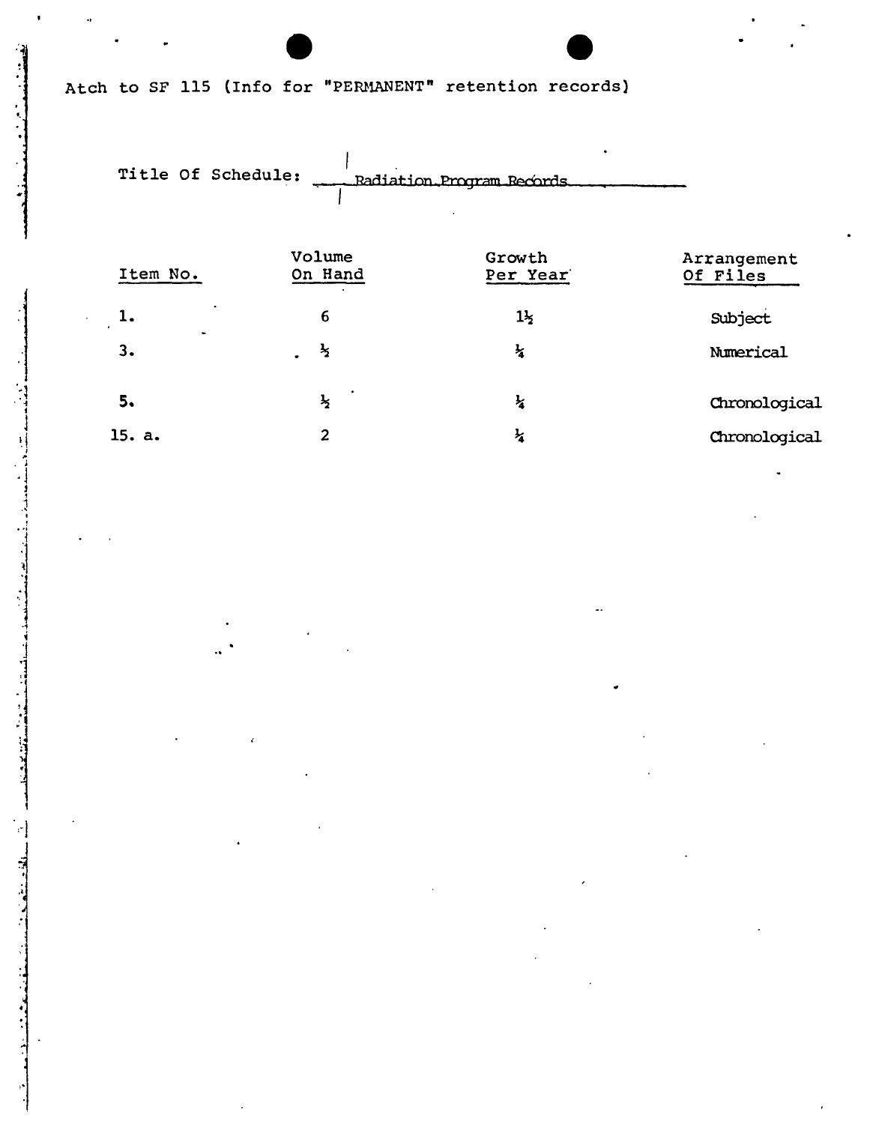## Atch to SF 115 (Info for "PERMANENT" retention records)

Title Of Schedule: Radiation Program Records

| Item No.                               | Volume<br>On Hand | Growth<br>Per Year | Arrangement<br>Of Files |
|----------------------------------------|-------------------|--------------------|-------------------------|
| ٠<br>1.<br>$\bullet$<br>$\blacksquare$ | 6                 | $1\frac{1}{2}$     | Subject                 |
| 3.                                     | $\frac{1}{2}$     | $\frac{1}{4}$      | Numerical               |
| 5.                                     | $\frac{1}{2}$     | $\frac{1}{4}$      | Chronological           |
| 15. a.                                 | $\overline{2}$    | Ł                  | Chronological           |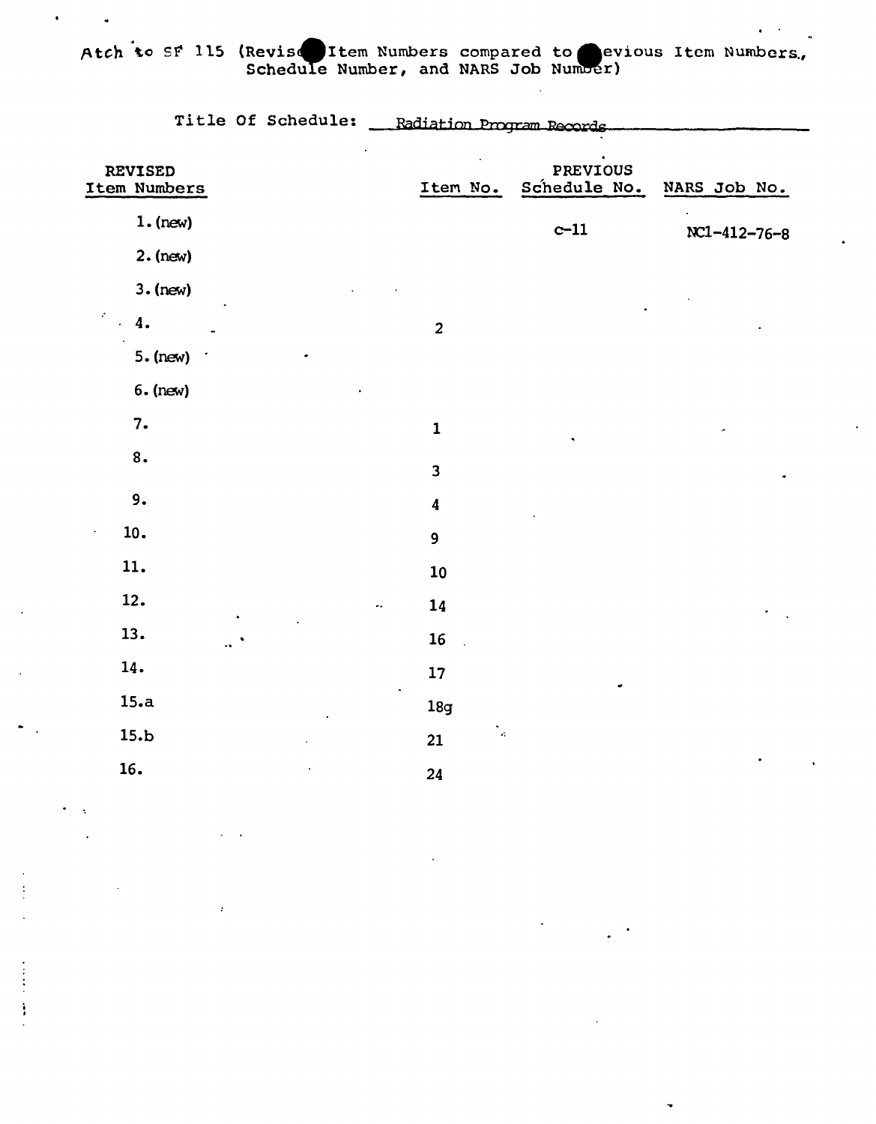Atch to SF 115 (Revise Item Numbers compared to evious Item Numbers.

 $\ddot{\phantom{a}}$ 

|                                | Title Of Schedule: | Radiation Program Records |                          |              |
|--------------------------------|--------------------|---------------------------|--------------------------|--------------|
| <b>REVISED</b><br>Item Numbers |                    | Item No.                  | PREVIOUS<br>Schedule No. | NARS Job No. |
| $1.$ (new)                     |                    |                           | $c-11$                   | NC1-412-76-8 |
| $2.$ (new)                     |                    |                           |                          |              |
| $3.$ (new)                     |                    |                           |                          |              |
| 4.                             |                    | $\overline{\mathbf{2}}$   |                          |              |
| $5.$ (new)                     |                    |                           |                          |              |
| $6.$ (new)                     |                    |                           |                          |              |
| 7.                             |                    | $\mathbf 1$               |                          |              |
| 8.                             |                    | $\overline{\mathbf{3}}$   |                          |              |
| 9.                             |                    | $\boldsymbol{4}$          |                          |              |
| 10.                            |                    | 9                         |                          |              |
| 11.                            |                    | 10                        |                          |              |
| 12.                            |                    | 14                        |                          |              |
| 13.                            |                    | 16                        |                          |              |
| 14.                            |                    | 17                        |                          |              |
| 15.a                           |                    | 18 <sub>g</sub>           |                          |              |
| 15.b                           |                    | $\mathcal{L}$<br>21       |                          |              |
| 16.                            |                    | 24                        |                          |              |
|                                |                    |                           |                          |              |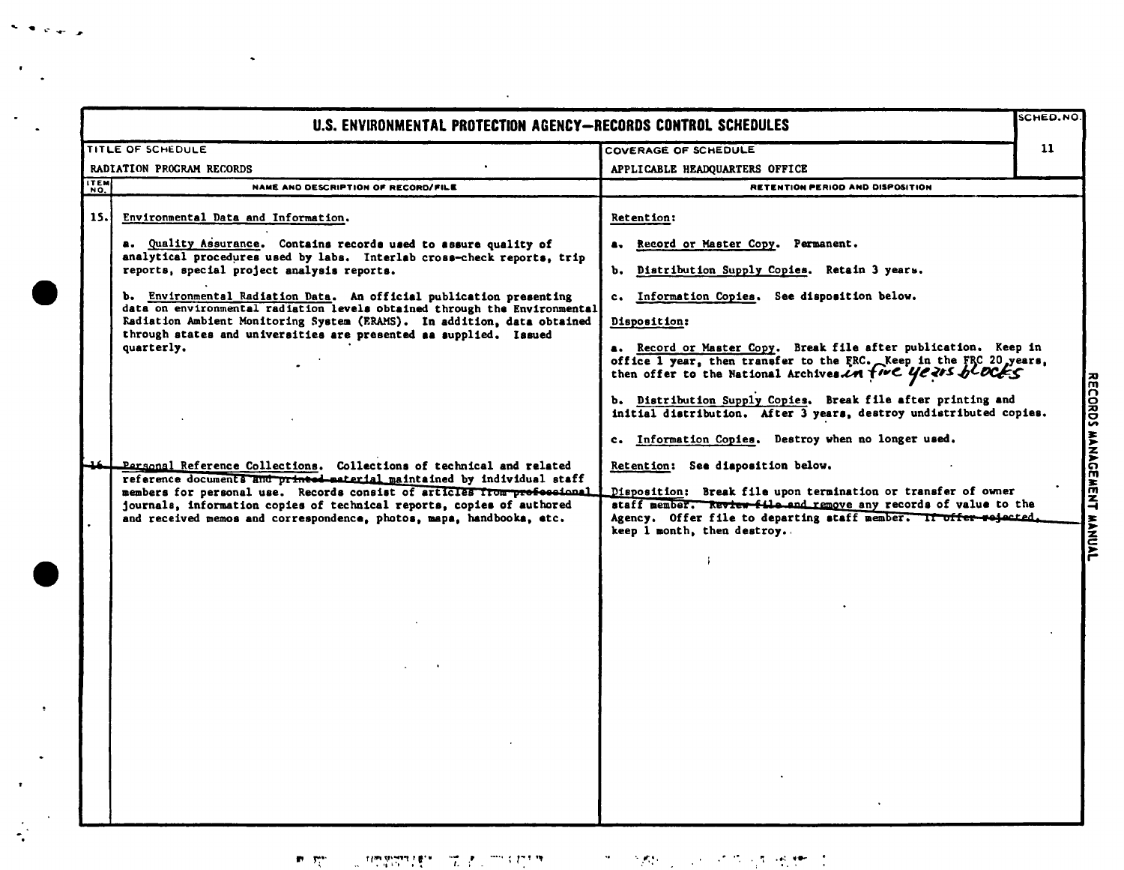|                            | U.S. ENVIRONMENTAL PROTECTION AGENCY-RECORDS CONTROL SCHEDULES                                                                                                                                                                                                                                                                                                                                                                                                                                                                                                                                                                                                                                                                                                                                                                                                                                                                   |                                                                                                                                                                                                                                                                                                                                                                                                                                                                                                                                                                                                                                                                                                                                                                                                                                                      | SCHED.NO |
|----------------------------|----------------------------------------------------------------------------------------------------------------------------------------------------------------------------------------------------------------------------------------------------------------------------------------------------------------------------------------------------------------------------------------------------------------------------------------------------------------------------------------------------------------------------------------------------------------------------------------------------------------------------------------------------------------------------------------------------------------------------------------------------------------------------------------------------------------------------------------------------------------------------------------------------------------------------------|------------------------------------------------------------------------------------------------------------------------------------------------------------------------------------------------------------------------------------------------------------------------------------------------------------------------------------------------------------------------------------------------------------------------------------------------------------------------------------------------------------------------------------------------------------------------------------------------------------------------------------------------------------------------------------------------------------------------------------------------------------------------------------------------------------------------------------------------------|----------|
|                            | TITLE OF SCHEDULE                                                                                                                                                                                                                                                                                                                                                                                                                                                                                                                                                                                                                                                                                                                                                                                                                                                                                                                | COVERAGE OF SCHEDULE                                                                                                                                                                                                                                                                                                                                                                                                                                                                                                                                                                                                                                                                                                                                                                                                                                 | 11       |
| RADIATION PROGRAM RECORDS  |                                                                                                                                                                                                                                                                                                                                                                                                                                                                                                                                                                                                                                                                                                                                                                                                                                                                                                                                  | APPLICABLE HEADQUARTERS OFFICE                                                                                                                                                                                                                                                                                                                                                                                                                                                                                                                                                                                                                                                                                                                                                                                                                       |          |
|                            | NAME AND DESCRIPTION OF RECORD/FILE                                                                                                                                                                                                                                                                                                                                                                                                                                                                                                                                                                                                                                                                                                                                                                                                                                                                                              | RETENTION PERIOD AND DISPOSITION                                                                                                                                                                                                                                                                                                                                                                                                                                                                                                                                                                                                                                                                                                                                                                                                                     |          |
| <b>ITEM</b><br>NO.<br>15.1 | Environmental Data and Information.<br>a. Quality Assurance. Contains records used to assure quality of<br>analytical procedures used by labs. Interlab cross-check reports, trip<br>reports, special project analysis reports.<br>b. Environmental Radiation Data. An official publication presenting<br>data on environmental radiation levels obtained through the Environmental<br>Radiation Ambient Monitoring System (ERAMS). In addition, data obtained<br>through states and universities are presented as supplied. Issued<br>quarterly.<br>Personal Reference Collections. Collections of technical and related<br>reference documents and princed-material maintained by individual staff<br>members for personal use. Records consist of articles from professional<br>journals, information copies of technical reports, copies of authored<br>and received memos and correspondence, photos, mapa, handbooka, etc. | Retention:<br>a. Record or Master Copy. Permanent.<br>b. Distribution Supply Copies. Retain 3 years.<br>c. Information Copies. See disposition below.<br>Disposition:<br>a. Record or Master Copy. Break file after publication. Keep in<br>office 1 year, then transfer to the FRC. Keep in the FRC 20 years,<br>then offer to the National Archives in time years blocks<br>b. Distribution Supply Copies. Break file after printing and<br>initial distribution. After 3 years, destroy undistributed copies.<br>c. Information Copies. Destroy when no longer used.<br>Retention: See diaposition below.<br>Disposition: Break file upon termination or transfer of owner<br>staff member. Review file and remove any records of value to the<br>Agency. Offer file to departing staff member. If offer rejected.<br>keep 1 month, then destroy. |          |

 $\sim$  and  $\sim$ 

 $\mathcal{F}_{\mathcal{F}_{\mathcal{F}}}$  .

 $\frac{1}{\sqrt{2}}$ 

 $\langle \bullet \rangle$ 

 $\hat{\boldsymbol{\gamma}}$  $\frac{1}{\sqrt{2}}$ 

 $\bullet$ 

 $\langle \bullet \rangle$ 

 $\mathbf{P}=\mathbf{P}_{\mathrm{Q}}^{\mathrm{max}}$  .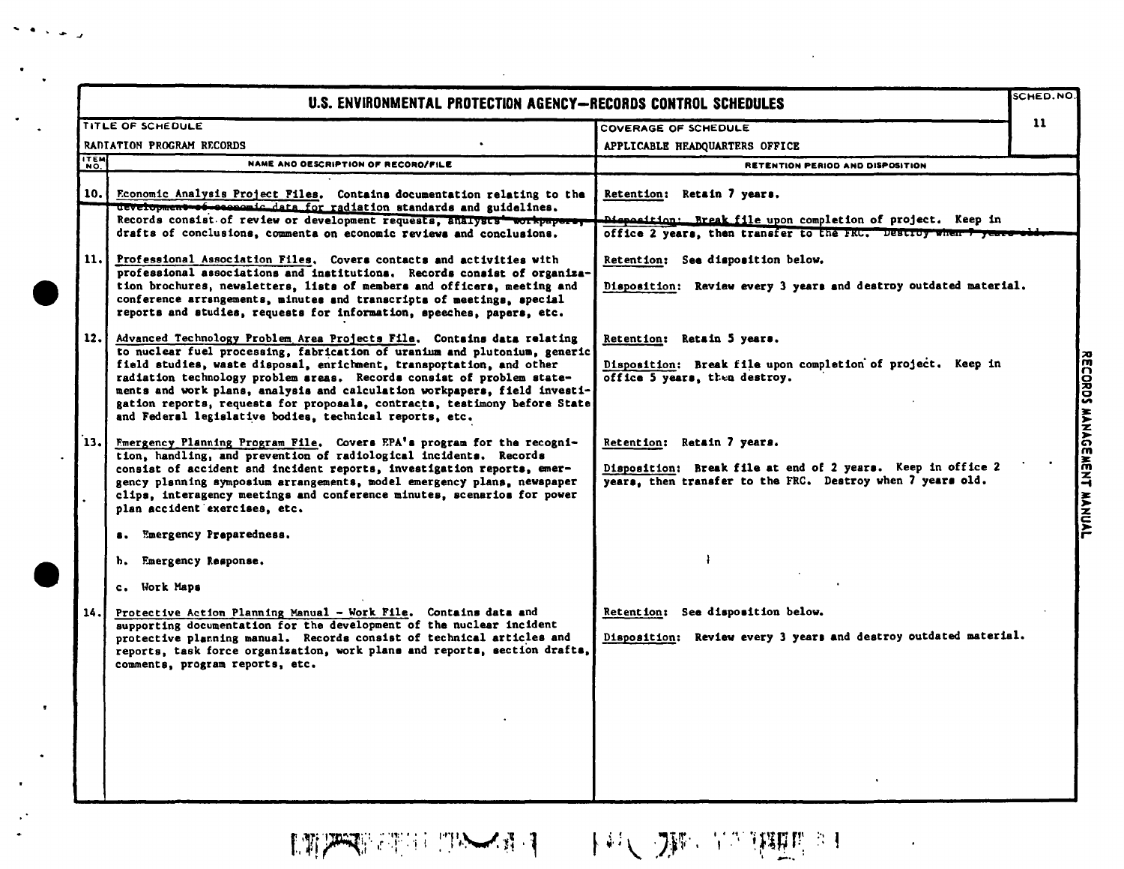|                | U.S. ENVIRONMENTAL PROTECTION AGENCY-RECORDS CONTROL SCHEDULES                                                                                                                                                                                                                                                                                                                                                                                                                                                                                                                                                 |                                                                                                                                                                                                                                                                       | SCHED.NO      |
|----------------|----------------------------------------------------------------------------------------------------------------------------------------------------------------------------------------------------------------------------------------------------------------------------------------------------------------------------------------------------------------------------------------------------------------------------------------------------------------------------------------------------------------------------------------------------------------------------------------------------------------|-----------------------------------------------------------------------------------------------------------------------------------------------------------------------------------------------------------------------------------------------------------------------|---------------|
|                | TITLE OF SCHEDULE                                                                                                                                                                                                                                                                                                                                                                                                                                                                                                                                                                                              | COVERAGE OF SCHEDULE                                                                                                                                                                                                                                                  | $\mathbf{11}$ |
|                | RADIATION PROGRAM RECORDS                                                                                                                                                                                                                                                                                                                                                                                                                                                                                                                                                                                      | APPLICABLE HEADQUARTERS OFFICE                                                                                                                                                                                                                                        |               |
| ITEM<br>NO.    | NAME ANO OESCRIPTION OF RECORO/FILE                                                                                                                                                                                                                                                                                                                                                                                                                                                                                                                                                                            | RETENTION PERIOD AND DISPOSITION                                                                                                                                                                                                                                      |               |
| 10.1           | Economic Analysis Project Files. Contains documentation relating to the<br>development of seconomic data for radiation standards and guidelines.<br>Records consist of review or development requests, analysts workpapers,<br>drafts of conclusions, commenta on economic reviews and conclusions.<br>11. Professional Association Files. Covers contacts and activities with<br>professional associations and institutions. Records consist of organiza-<br>tion brochures, newsletters, lists of members and officers, meeting and<br>conference arrangements, minutes and transcripts of meetings, special | Retention: Retain 7 years.<br>Disposition: Break file upon completion of project. Keep in<br>office 2 years, then transfer to the FRU. Destroy when 7 years-<br>Retention: See disposition below.<br>Disposition: Review every 3 years and destroy outdated material. |               |
| 12.1           | reports and studies, requests for information, speeches, papers, etc.<br>Advanced Technology Problem Area Projects File. Contains data relating<br>to nuclear fuel processing, fabrication of uranium and plutonium, generic<br>field studies, waste disposal, enrichment, transportation, and other<br>radiation technology problem areas. Records consist of problem state-<br>ments and work plans, analysis and calculation workpapers, field investi-<br>gation reports, requests for proposals, contracts, testimony before State<br>and Federal legislative bodies, technical reports, etc.             | Retention: Retain 5 years.<br>Disposition: Break file upon completion of project. Keep in<br>office 5 years, then destroy.                                                                                                                                            |               |
| $\mathbf{13.}$ | Emergency Planning Program File. Covers EPA's program for the recogni-<br>tion, handling, and prevention of radiological incidents. Records<br>consist of accident and incident reports, investigation reports, emer-<br>gency planning symposium arrangements, model emergency plans, newspaper<br>clips, interagency meetings and conference minutes, scenarios for power<br>plan accident exercises, etc.                                                                                                                                                                                                   | Retention: Retain 7 years.<br>Disposition: Break file at end of 2 years. Keep in office 2<br>years, then transfer to the FRC. Destroy when 7 years old.                                                                                                               |               |
| 14.            | Emergency Preparedness.<br>$\bullet$ .<br>b. Emergency Response.<br>c. Work Maps<br>Protective Action Planning Manual - Work File. Contains data and<br>supporting documentation for the development of the nuclear incident<br>protective planning manual. Records consist of technical articles and<br>reports, task force organization, work plans and reports, section drafts,<br>comments, program reports, etc.                                                                                                                                                                                          | Retention: See disposition below.<br>Disposition: Review every 3 years and destroy outdated material.                                                                                                                                                                 |               |

the control of the control of the control

 $\mathcal{L}^{\text{max}}_{\text{max}}$ 

 $\sigma$  , and  $\sigma$ 

 $\mathcal{A}$ 

 $\mathcal{F}_{\mathcal{A}}$  .

 $\mathcal{L}_{\mathcal{A}}$ 

**LTP PERSON TANK A T THAT A DIRECT THE RESERVE A THINK OF THE PARTIES OF THE PERSON REPORTED A THINK OF THE PER** 

**BATORIA ELEP** これにれてす ミ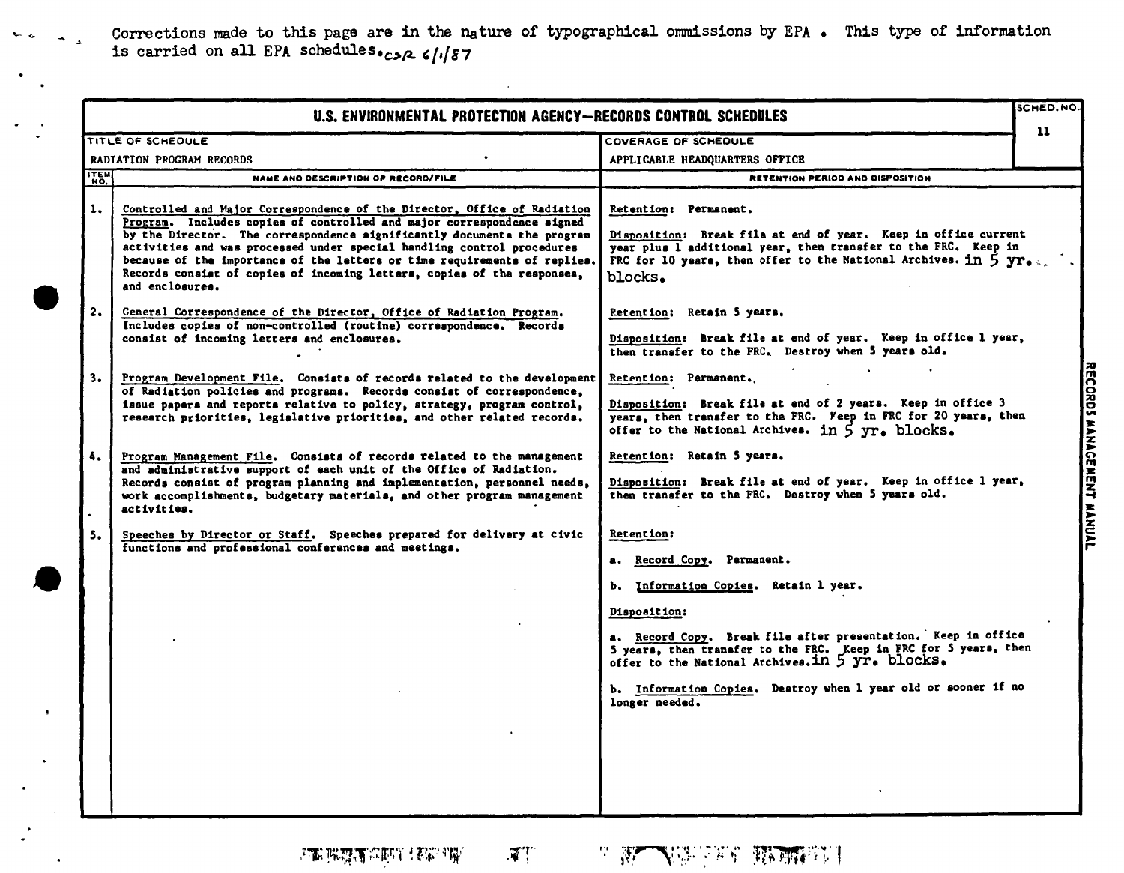Corrections made to this page are in the nature of typographical ommissions by EPA. This type of information is carried on all EPA schedules.  $c_2 \sqrt{187}$ 

|                 | U.S. ENVIRONMENTAL PROTECTION AGENCY-RECORDS CONTROL SCHEDULES                                                                                                                                                                                                                                                                                                                                                                                                                     |                                                                                                                                                                                                                                                                                                                                                                                |                           |
|-----------------|------------------------------------------------------------------------------------------------------------------------------------------------------------------------------------------------------------------------------------------------------------------------------------------------------------------------------------------------------------------------------------------------------------------------------------------------------------------------------------|--------------------------------------------------------------------------------------------------------------------------------------------------------------------------------------------------------------------------------------------------------------------------------------------------------------------------------------------------------------------------------|---------------------------|
|                 | TITLE OF SCHEDULE                                                                                                                                                                                                                                                                                                                                                                                                                                                                  | COVERAGE OF SCHEDULE                                                                                                                                                                                                                                                                                                                                                           | 11                        |
|                 | RADIATION PROGRAM RECORDS                                                                                                                                                                                                                                                                                                                                                                                                                                                          | APPLICABLE HEADQUARTERS OFFICE                                                                                                                                                                                                                                                                                                                                                 |                           |
| ITEM            | NAME AND DESCRIPTION OF RECORD/FILE                                                                                                                                                                                                                                                                                                                                                                                                                                                | RETENTION PERIOD AND OISPOSITION                                                                                                                                                                                                                                                                                                                                               |                           |
| 1.              | Controlled and Major Correspondence of the Director, Office of Radiation<br>Program. Includes copies of controlled and major correspondence signed<br>by the Director. The correspondence significantly documents the program<br>activities and was processed under special handling control procedures<br>because of the importance of the letters or time requirements of replies.<br>Records consist of copies of incoming letters, copies of the responses,<br>and enclosures. | Retention: Permanent.<br>Disposition: Break file at end of year. Keep in office current<br>year plus I additional year, then transfer to the FRC. Keep in<br>FRC for 10 years, then offer to the National Archives. in $5 \text{ yr}$ .<br>blocks.                                                                                                                             |                           |
| 2.              | Ceneral Correspondence of the Director, Office of Radiation Program.<br>Includes copies of non-controlled (routine) correspondence. Records<br>consist of incoming letters and enclosures.                                                                                                                                                                                                                                                                                         | Retention: Retain 5 years.<br>Disposition: Break file at end of year. Keep in office 1 year.<br>then transfer to the FRC. Destroy when 5 years old.                                                                                                                                                                                                                            |                           |
| 3.              | Program Development File. Consists of records related to the development<br>of Radiation policies and programs. Records consist of correspondence,<br>issue papars and reports relative to policy, strategy, program control,<br>research priorities, legislative priorities, and other related records.                                                                                                                                                                           | Retention: Permanent.<br>Disposition: Break file at end of 2 years. Keep in office 3<br>years, then transfer to the FRC. Feep in FRC for 20 years, then<br>offer to the National Archives. in 5 yr. blocks.                                                                                                                                                                    | RECORDS MANAGEMENT MANUAL |
| 4.<br>$\bullet$ | Program Management File. Consists of records related to the management<br>and administrative support of each unit of the Office of Radiation.<br>Records consist of program planning and implementation, personnel needs,<br>work accomplishments, budgetary materials, and other program management<br>activities.                                                                                                                                                                | Retention: Retain 5 years.<br>Disposition: Break file at end of year. Keep in office 1 year,<br>then transfer to the FRC. Destroy when 5 years old.                                                                                                                                                                                                                            |                           |
| 5.              | Speeches by Director or Staff. Speeches prepared for delivery at civic<br>functions and professional conferences and meetings.                                                                                                                                                                                                                                                                                                                                                     | Retention:<br>a. Record Copy. Permanent.<br>b. Information Copies. Retain 1 year.<br>Disposition:<br>a. Record Copy. Break file after presentation. Keep in office<br>5 years, then transfer to the FRC. Keep in FRC for 5 years, then<br>offer to the National Archives. in 5 yr. blocks.<br>b. Information Copies. Destroy when 1 year old or sooner if no<br>longer needed. |                           |

 $\mathcal{P}^{\text{max}}_{\text{max}}\left(\mathcal{P}^{\text{max}}_{\text{max}}\right) \leq \mathcal{P}^{\text{max}}_{\text{max}}\left(\mathcal{P}^{\text{max}}_{\text{max}}\right)$ 

 $\ddot{\phantom{0}}$ 

 $\mathbb{F}^n$ 

a Marchae Mental